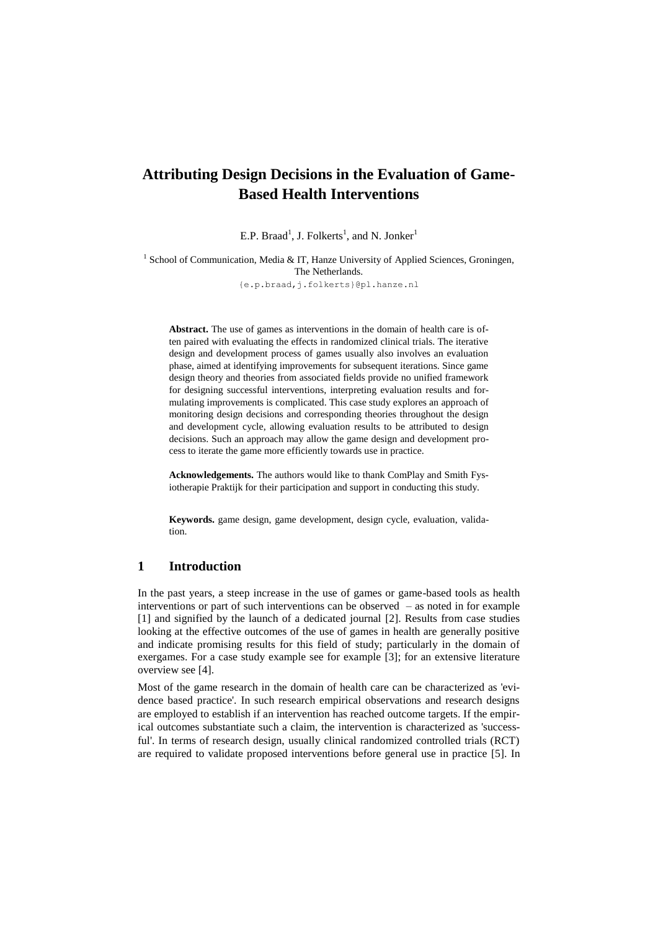# **Attributing Design Decisions in the Evaluation of Game-Based Health Interventions**

E.P. Braad<sup>1</sup>, J. Folkerts<sup>1</sup>, and N. Jonker<sup>1</sup>

<sup>1</sup> School of Communication, Media & IT, Hanze University of Applied Sciences, Groningen, The Netherlands.

{e.p.braad,j.folkerts}@pl.hanze.nl

**Abstract.** The use of games as interventions in the domain of health care is often paired with evaluating the effects in randomized clinical trials. The iterative design and development process of games usually also involves an evaluation phase, aimed at identifying improvements for subsequent iterations. Since game design theory and theories from associated fields provide no unified framework for designing successful interventions, interpreting evaluation results and formulating improvements is complicated. This case study explores an approach of monitoring design decisions and corresponding theories throughout the design and development cycle, allowing evaluation results to be attributed to design decisions. Such an approach may allow the game design and development process to iterate the game more efficiently towards use in practice.

**Acknowledgements.** The authors would like to thank ComPlay and Smith Fysiotherapie Praktijk for their participation and support in conducting this study.

**Keywords.** game design, game development, design cycle, evaluation, validation.

#### **1 Introduction**

In the past years, a steep increase in the use of games or game-based tools as health interventions or part of such interventions can be observed – as noted in for example [1] and signified by the launch of a dedicated journal [2]. Results from case studies looking at the effective outcomes of the use of games in health are generally positive and indicate promising results for this field of study; particularly in the domain of exergames. For a case study example see for example [3]; for an extensive literature overview see [4].

Most of the game research in the domain of health care can be characterized as 'evidence based practice'. In such research empirical observations and research designs are employed to establish if an intervention has reached outcome targets. If the empirical outcomes substantiate such a claim, the intervention is characterized as 'successful'. In terms of research design, usually clinical randomized controlled trials (RCT) are required to validate proposed interventions before general use in practice [5]. In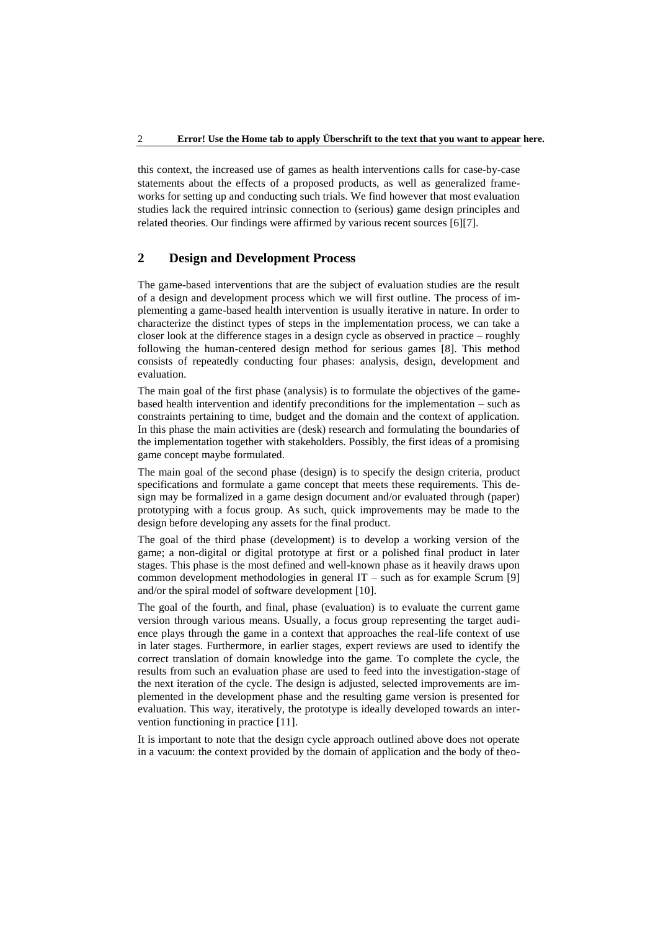this context, the increased use of games as health interventions calls for case-by-case statements about the effects of a proposed products, as well as generalized frameworks for setting up and conducting such trials. We find however that most evaluation studies lack the required intrinsic connection to (serious) game design principles and related theories. Our findings were affirmed by various recent sources [6][7].

### **2 Design and Development Process**

The game-based interventions that are the subject of evaluation studies are the result of a design and development process which we will first outline. The process of implementing a game-based health intervention is usually iterative in nature. In order to characterize the distinct types of steps in the implementation process, we can take a closer look at the difference stages in a design cycle as observed in practice – roughly following the human-centered design method for serious games [8]. This method consists of repeatedly conducting four phases: analysis, design, development and evaluation.

The main goal of the first phase (analysis) is to formulate the objectives of the gamebased health intervention and identify preconditions for the implementation – such as constraints pertaining to time, budget and the domain and the context of application. In this phase the main activities are (desk) research and formulating the boundaries of the implementation together with stakeholders. Possibly, the first ideas of a promising game concept maybe formulated.

The main goal of the second phase (design) is to specify the design criteria, product specifications and formulate a game concept that meets these requirements. This design may be formalized in a game design document and/or evaluated through (paper) prototyping with a focus group. As such, quick improvements may be made to the design before developing any assets for the final product.

The goal of the third phase (development) is to develop a working version of the game; a non-digital or digital prototype at first or a polished final product in later stages. This phase is the most defined and well-known phase as it heavily draws upon common development methodologies in general IT – such as for example Scrum [9] and/or the spiral model of software development [10].

The goal of the fourth, and final, phase (evaluation) is to evaluate the current game version through various means. Usually, a focus group representing the target audience plays through the game in a context that approaches the real-life context of use in later stages. Furthermore, in earlier stages, expert reviews are used to identify the correct translation of domain knowledge into the game. To complete the cycle, the results from such an evaluation phase are used to feed into the investigation-stage of the next iteration of the cycle. The design is adjusted, selected improvements are implemented in the development phase and the resulting game version is presented for evaluation. This way, iteratively, the prototype is ideally developed towards an intervention functioning in practice [11].

It is important to note that the design cycle approach outlined above does not operate in a vacuum: the context provided by the domain of application and the body of theo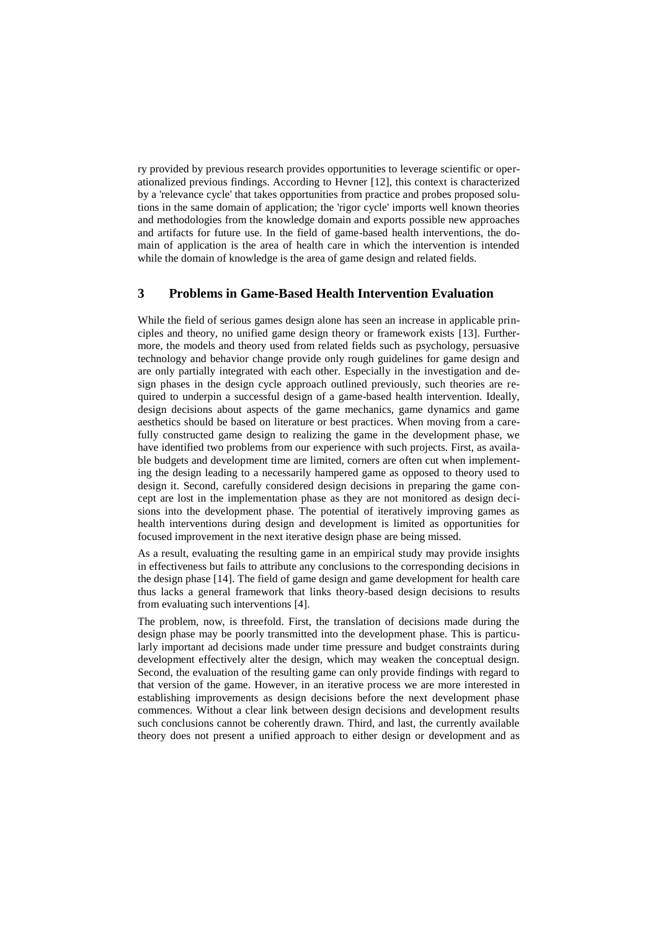ry provided by previous research provides opportunities to leverage scientific or operationalized previous findings. According to Hevner [12], this context is characterized by a 'relevance cycle' that takes opportunities from practice and probes proposed solutions in the same domain of application; the 'rigor cycle' imports well known theories and methodologies from the knowledge domain and exports possible new approaches and artifacts for future use. In the field of game-based health interventions, the domain of application is the area of health care in which the intervention is intended while the domain of knowledge is the area of game design and related fields.

#### **3 Problems in Game-Based Health Intervention Evaluation**

While the field of serious games design alone has seen an increase in applicable principles and theory, no unified game design theory or framework exists [13]. Furthermore, the models and theory used from related fields such as psychology, persuasive technology and behavior change provide only rough guidelines for game design and are only partially integrated with each other. Especially in the investigation and design phases in the design cycle approach outlined previously, such theories are required to underpin a successful design of a game-based health intervention. Ideally, design decisions about aspects of the game mechanics, game dynamics and game aesthetics should be based on literature or best practices. When moving from a carefully constructed game design to realizing the game in the development phase, we have identified two problems from our experience with such projects. First, as available budgets and development time are limited, corners are often cut when implementing the design leading to a necessarily hampered game as opposed to theory used to design it. Second, carefully considered design decisions in preparing the game concept are lost in the implementation phase as they are not monitored as design decisions into the development phase. The potential of iteratively improving games as health interventions during design and development is limited as opportunities for focused improvement in the next iterative design phase are being missed.

As a result, evaluating the resulting game in an empirical study may provide insights in effectiveness but fails to attribute any conclusions to the corresponding decisions in the design phase [14]. The field of game design and game development for health care thus lacks a general framework that links theory-based design decisions to results from evaluating such interventions [4].

The problem, now, is threefold. First, the translation of decisions made during the design phase may be poorly transmitted into the development phase. This is particularly important ad decisions made under time pressure and budget constraints during development effectively alter the design, which may weaken the conceptual design. Second, the evaluation of the resulting game can only provide findings with regard to that version of the game. However, in an iterative process we are more interested in establishing improvements as design decisions before the next development phase commences. Without a clear link between design decisions and development results such conclusions cannot be coherently drawn. Third, and last, the currently available theory does not present a unified approach to either design or development and as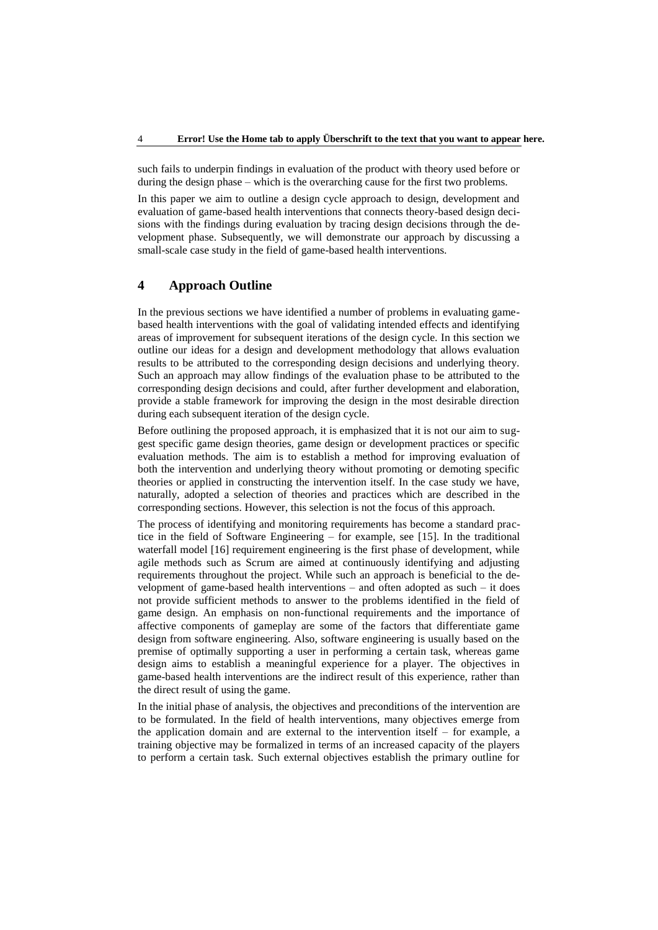such fails to underpin findings in evaluation of the product with theory used before or during the design phase – which is the overarching cause for the first two problems.

In this paper we aim to outline a design cycle approach to design, development and evaluation of game-based health interventions that connects theory-based design decisions with the findings during evaluation by tracing design decisions through the development phase. Subsequently, we will demonstrate our approach by discussing a small-scale case study in the field of game-based health interventions.

#### **4 Approach Outline**

In the previous sections we have identified a number of problems in evaluating gamebased health interventions with the goal of validating intended effects and identifying areas of improvement for subsequent iterations of the design cycle. In this section we outline our ideas for a design and development methodology that allows evaluation results to be attributed to the corresponding design decisions and underlying theory. Such an approach may allow findings of the evaluation phase to be attributed to the corresponding design decisions and could, after further development and elaboration, provide a stable framework for improving the design in the most desirable direction during each subsequent iteration of the design cycle.

Before outlining the proposed approach, it is emphasized that it is not our aim to suggest specific game design theories, game design or development practices or specific evaluation methods. The aim is to establish a method for improving evaluation of both the intervention and underlying theory without promoting or demoting specific theories or applied in constructing the intervention itself. In the case study we have, naturally, adopted a selection of theories and practices which are described in the corresponding sections. However, this selection is not the focus of this approach.

The process of identifying and monitoring requirements has become a standard practice in the field of Software Engineering – for example, see [15]. In the traditional waterfall model [16] requirement engineering is the first phase of development, while agile methods such as Scrum are aimed at continuously identifying and adjusting requirements throughout the project. While such an approach is beneficial to the development of game-based health interventions – and often adopted as such – it does not provide sufficient methods to answer to the problems identified in the field of game design. An emphasis on non-functional requirements and the importance of affective components of gameplay are some of the factors that differentiate game design from software engineering. Also, software engineering is usually based on the premise of optimally supporting a user in performing a certain task, whereas game design aims to establish a meaningful experience for a player. The objectives in game-based health interventions are the indirect result of this experience, rather than the direct result of using the game.

In the initial phase of analysis, the objectives and preconditions of the intervention are to be formulated. In the field of health interventions, many objectives emerge from the application domain and are external to the intervention itself  $-$  for example, a training objective may be formalized in terms of an increased capacity of the players to perform a certain task. Such external objectives establish the primary outline for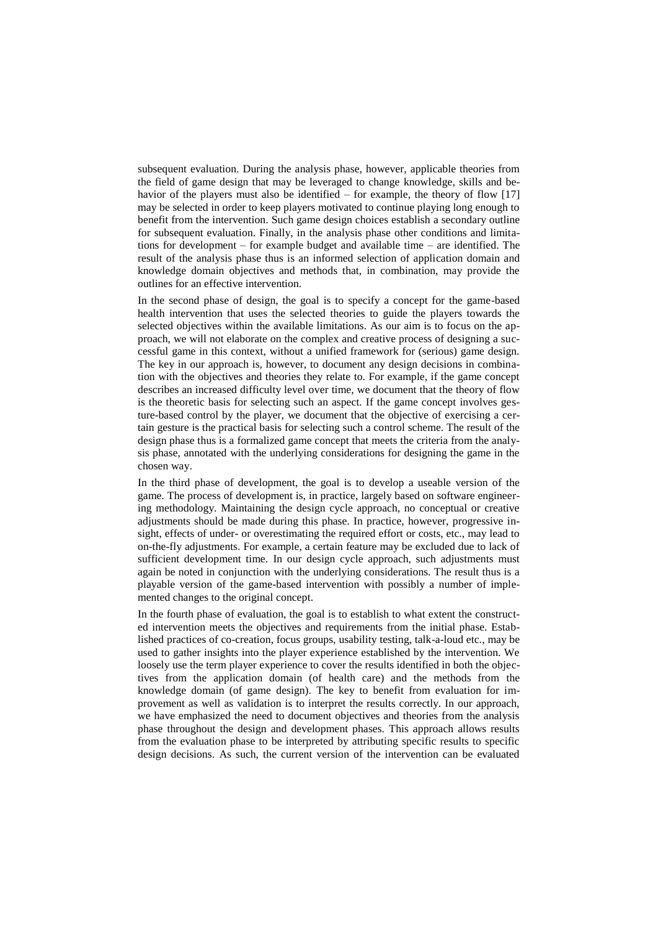subsequent evaluation. During the analysis phase, however, applicable theories from the field of game design that may be leveraged to change knowledge, skills and behavior of the players must also be identified – for example, the theory of flow [17] may be selected in order to keep players motivated to continue playing long enough to benefit from the intervention. Such game design choices establish a secondary outline for subsequent evaluation. Finally, in the analysis phase other conditions and limitations for development – for example budget and available time – are identified. The result of the analysis phase thus is an informed selection of application domain and knowledge domain objectives and methods that, in combination, may provide the outlines for an effective intervention.

In the second phase of design, the goal is to specify a concept for the game-based health intervention that uses the selected theories to guide the players towards the selected objectives within the available limitations. As our aim is to focus on the approach, we will not elaborate on the complex and creative process of designing a successful game in this context, without a unified framework for (serious) game design. The key in our approach is, however, to document any design decisions in combination with the objectives and theories they relate to. For example, if the game concept describes an increased difficulty level over time, we document that the theory of flow is the theoretic basis for selecting such an aspect. If the game concept involves gesture-based control by the player, we document that the objective of exercising a certain gesture is the practical basis for selecting such a control scheme. The result of the design phase thus is a formalized game concept that meets the criteria from the analysis phase, annotated with the underlying considerations for designing the game in the chosen way.

In the third phase of development, the goal is to develop a useable version of the game. The process of development is, in practice, largely based on software engineering methodology. Maintaining the design cycle approach, no conceptual or creative adjustments should be made during this phase. In practice, however, progressive insight, effects of under- or overestimating the required effort or costs, etc., may lead to on-the-fly adjustments. For example, a certain feature may be excluded due to lack of sufficient development time. In our design cycle approach, such adjustments must again be noted in conjunction with the underlying considerations. The result thus is a playable version of the game-based intervention with possibly a number of implemented changes to the original concept.

In the fourth phase of evaluation, the goal is to establish to what extent the constructed intervention meets the objectives and requirements from the initial phase. Established practices of co-creation, focus groups, usability testing, talk-a-loud etc., may be used to gather insights into the player experience established by the intervention. We loosely use the term player experience to cover the results identified in both the objectives from the application domain (of health care) and the methods from the knowledge domain (of game design). The key to benefit from evaluation for improvement as well as validation is to interpret the results correctly. In our approach, we have emphasized the need to document objectives and theories from the analysis phase throughout the design and development phases. This approach allows results from the evaluation phase to be interpreted by attributing specific results to specific design decisions. As such, the current version of the intervention can be evaluated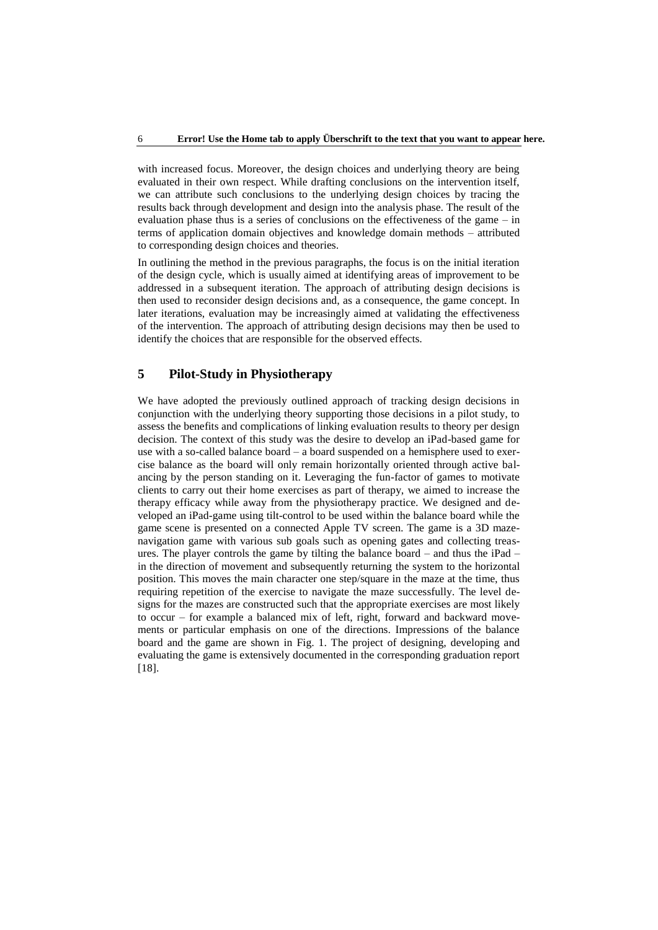with increased focus. Moreover, the design choices and underlying theory are being evaluated in their own respect. While drafting conclusions on the intervention itself, we can attribute such conclusions to the underlying design choices by tracing the results back through development and design into the analysis phase. The result of the evaluation phase thus is a series of conclusions on the effectiveness of the game – in terms of application domain objectives and knowledge domain methods – attributed to corresponding design choices and theories.

In outlining the method in the previous paragraphs, the focus is on the initial iteration of the design cycle, which is usually aimed at identifying areas of improvement to be addressed in a subsequent iteration. The approach of attributing design decisions is then used to reconsider design decisions and, as a consequence, the game concept. In later iterations, evaluation may be increasingly aimed at validating the effectiveness of the intervention. The approach of attributing design decisions may then be used to identify the choices that are responsible for the observed effects.

## **5 Pilot-Study in Physiotherapy**

We have adopted the previously outlined approach of tracking design decisions in conjunction with the underlying theory supporting those decisions in a pilot study, to assess the benefits and complications of linking evaluation results to theory per design decision. The context of this study was the desire to develop an iPad-based game for use with a so-called balance board – a board suspended on a hemisphere used to exercise balance as the board will only remain horizontally oriented through active balancing by the person standing on it. Leveraging the fun-factor of games to motivate clients to carry out their home exercises as part of therapy, we aimed to increase the therapy efficacy while away from the physiotherapy practice. We designed and developed an iPad-game using tilt-control to be used within the balance board while the game scene is presented on a connected Apple TV screen. The game is a 3D mazenavigation game with various sub goals such as opening gates and collecting treasures. The player controls the game by tilting the balance board – and thus the iPad – in the direction of movement and subsequently returning the system to the horizontal position. This moves the main character one step/square in the maze at the time, thus requiring repetition of the exercise to navigate the maze successfully. The level designs for the mazes are constructed such that the appropriate exercises are most likely to occur – for example a balanced mix of left, right, forward and backward movements or particular emphasis on one of the directions. Impressions of the balance board and the game are shown in Fig. 1. The project of designing, developing and evaluating the game is extensively documented in the corresponding graduation report [18].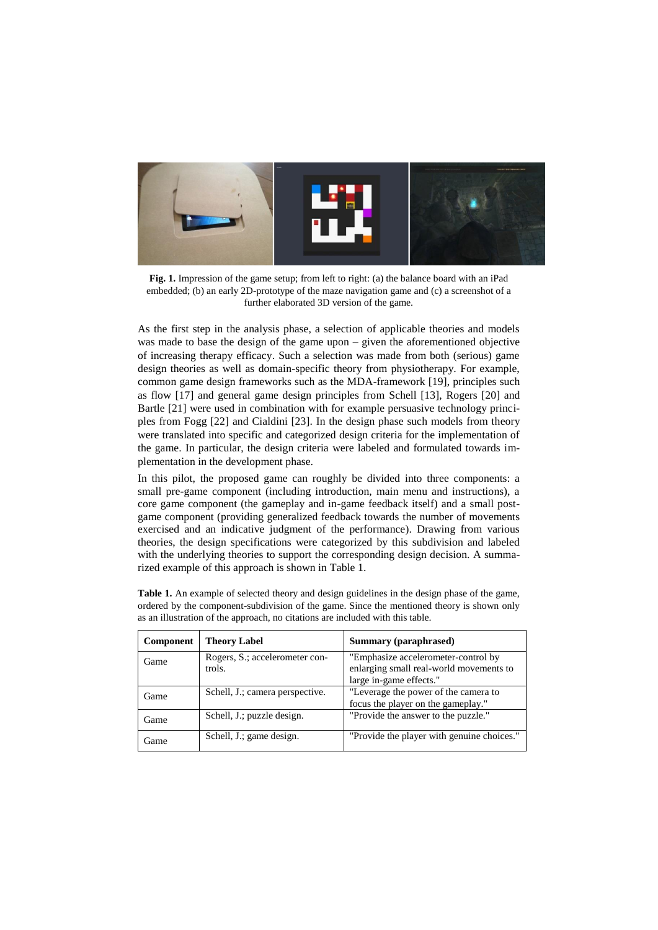

**Fig. 1.** Impression of the game setup; from left to right: (a) the balance board with an iPad embedded; (b) an early 2D-prototype of the maze navigation game and (c) a screenshot of a further elaborated 3D version of the game.

As the first step in the analysis phase, a selection of applicable theories and models was made to base the design of the game upon – given the aforementioned objective of increasing therapy efficacy. Such a selection was made from both (serious) game design theories as well as domain-specific theory from physiotherapy. For example, common game design frameworks such as the MDA-framework [19], principles such as flow [17] and general game design principles from Schell [13], Rogers [20] and Bartle [21] were used in combination with for example persuasive technology principles from Fogg [22] and Cialdini [23]. In the design phase such models from theory were translated into specific and categorized design criteria for the implementation of the game. In particular, the design criteria were labeled and formulated towards implementation in the development phase.

In this pilot, the proposed game can roughly be divided into three components: a small pre-game component (including introduction, main menu and instructions), a core game component (the gameplay and in-game feedback itself) and a small postgame component (providing generalized feedback towards the number of movements exercised and an indicative judgment of the performance). Drawing from various theories, the design specifications were categorized by this subdivision and labeled with the underlying theories to support the corresponding design decision. A summarized example of this approach is shown in Table 1.

| Component | <b>Theory Label</b>                      | <b>Summary (paraphrased)</b>                                                                              |
|-----------|------------------------------------------|-----------------------------------------------------------------------------------------------------------|
| Game      | Rogers, S.; accelerometer con-<br>trols. | "Emphasize accelerometer-control by<br>enlarging small real-world movements to<br>large in-game effects." |
| Game      | Schell, J.; camera perspective.          | "Leverage the power of the camera to<br>focus the player on the gameplay."                                |
| Game      | Schell, J.; puzzle design.               | "Provide the answer to the puzzle."                                                                       |
| Game      | Schell, J.; game design.                 | "Provide the player with genuine choices."                                                                |

**Table 1.** An example of selected theory and design guidelines in the design phase of the game, ordered by the component-subdivision of the game. Since the mentioned theory is shown only as an illustration of the approach, no citations are included with this table.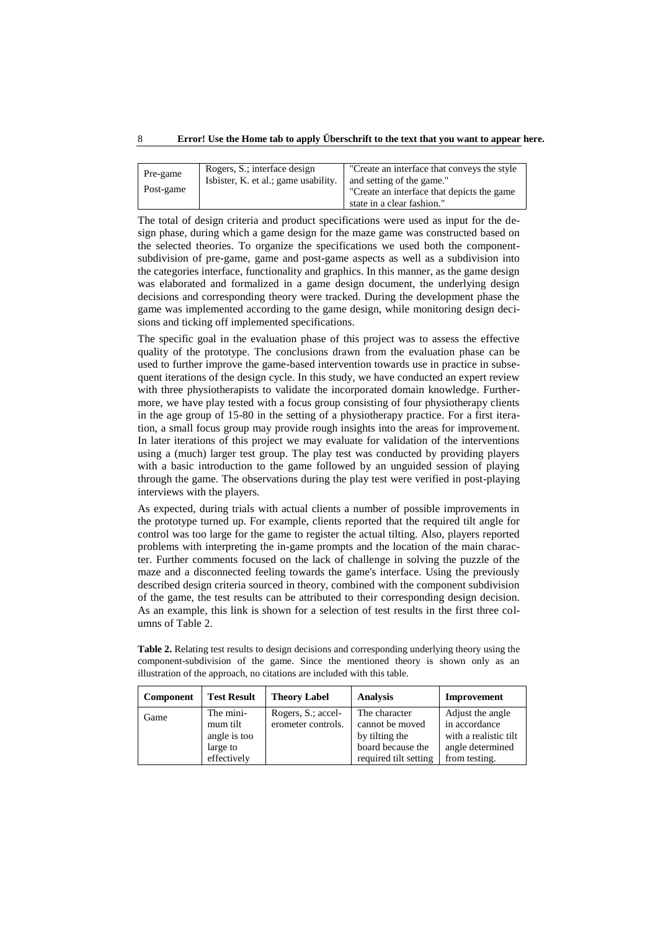| Pre-game<br>Post-game | Rogers, S.; interface design<br>Isbister, K. et al.; game usability. | "Create an interface that conveys the style<br>and setting of the game."<br>"Create an interface that depicts the game<br>state in a clear fashion." |
|-----------------------|----------------------------------------------------------------------|------------------------------------------------------------------------------------------------------------------------------------------------------|
|-----------------------|----------------------------------------------------------------------|------------------------------------------------------------------------------------------------------------------------------------------------------|

The total of design criteria and product specifications were used as input for the design phase, during which a game design for the maze game was constructed based on the selected theories. To organize the specifications we used both the componentsubdivision of pre-game, game and post-game aspects as well as a subdivision into the categories interface, functionality and graphics. In this manner, as the game design was elaborated and formalized in a game design document, the underlying design decisions and corresponding theory were tracked. During the development phase the game was implemented according to the game design, while monitoring design decisions and ticking off implemented specifications.

The specific goal in the evaluation phase of this project was to assess the effective quality of the prototype. The conclusions drawn from the evaluation phase can be used to further improve the game-based intervention towards use in practice in subsequent iterations of the design cycle. In this study, we have conducted an expert review with three physiotherapists to validate the incorporated domain knowledge. Furthermore, we have play tested with a focus group consisting of four physiotherapy clients in the age group of 15-80 in the setting of a physiotherapy practice. For a first iteration, a small focus group may provide rough insights into the areas for improvement. In later iterations of this project we may evaluate for validation of the interventions using a (much) larger test group. The play test was conducted by providing players with a basic introduction to the game followed by an unguided session of playing through the game. The observations during the play test were verified in post-playing interviews with the players.

As expected, during trials with actual clients a number of possible improvements in the prototype turned up. For example, clients reported that the required tilt angle for control was too large for the game to register the actual tilting. Also, players reported problems with interpreting the in-game prompts and the location of the main character. Further comments focused on the lack of challenge in solving the puzzle of the maze and a disconnected feeling towards the game's interface. Using the previously described design criteria sourced in theory, combined with the component subdivision of the game, the test results can be attributed to their corresponding design decision. As an example, this link is shown for a selection of test results in the first three columns of Table 2.

| Component | <b>Test Result</b>                                | <b>Theory Label</b>                      | <b>Analysis</b>                                                         | Improvement                                                                    |
|-----------|---------------------------------------------------|------------------------------------------|-------------------------------------------------------------------------|--------------------------------------------------------------------------------|
| Game      | The mini-<br>mum tilt<br>angle is too<br>large to | Rogers, S.; accel-<br>erometer controls. | The character<br>cannot be moved<br>by tilting the<br>board because the | Adjust the angle<br>in accordance<br>with a realistic tilt<br>angle determined |
|           | effectively                                       |                                          | required tilt setting                                                   | from testing.                                                                  |

**Table 2.** Relating test results to design decisions and corresponding underlying theory using the component-subdivision of the game. Since the mentioned theory is shown only as an illustration of the approach, no citations are included with this table.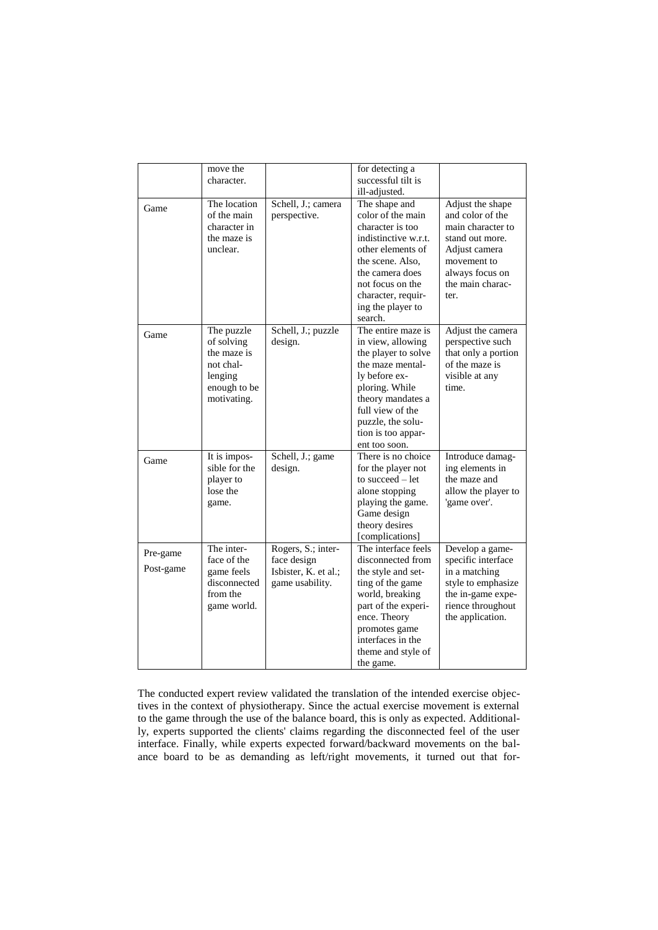|                       | move the<br>character.                                                                         |                                                                              | for detecting a<br>successful tilt is<br>ill-adjusted.                                                                                                                                                                     |                                                                                                                                                             |
|-----------------------|------------------------------------------------------------------------------------------------|------------------------------------------------------------------------------|----------------------------------------------------------------------------------------------------------------------------------------------------------------------------------------------------------------------------|-------------------------------------------------------------------------------------------------------------------------------------------------------------|
| Game                  | The location<br>of the main<br>character in<br>the maze is<br>unclear.                         | Schell, J.; camera<br>perspective.                                           | The shape and<br>color of the main<br>character is too<br>indistinctive w.r.t.<br>other elements of<br>the scene. Also.<br>the camera does<br>not focus on the<br>character, requir-<br>ing the player to<br>search.       | Adjust the shape<br>and color of the<br>main character to<br>stand out more.<br>Adjust camera<br>movement to<br>always focus on<br>the main charac-<br>ter. |
| Game                  | The puzzle<br>of solving<br>the maze is<br>not chal-<br>lenging<br>enough to be<br>motivating. | Schell, J.; puzzle<br>design.                                                | The entire maze is<br>in view, allowing<br>the player to solve<br>the maze mental-<br>ly before ex-<br>ploring. While<br>theory mandates a<br>full view of the<br>puzzle, the solu-<br>tion is too appar-<br>ent too soon. | Adjust the camera<br>perspective such<br>that only a portion<br>of the maze is<br>visible at any<br>time.                                                   |
| Game                  | It is impos-<br>sible for the<br>player to<br>lose the<br>game.                                | Schell, J.; game<br>design.                                                  | There is no choice<br>for the player not<br>to succeed - let<br>alone stopping<br>playing the game.<br>Game design<br>theory desires<br>[complications]                                                                    | Introduce damag-<br>ing elements in<br>the maze and<br>allow the player to<br>'game over'.                                                                  |
| Pre-game<br>Post-game | The inter-<br>face of the<br>game feels<br>disconnected<br>from the<br>game world.             | Rogers, S.; inter-<br>face design<br>Isbister, K. et al.;<br>game usability. | The interface feels<br>disconnected from<br>the style and set-<br>ting of the game<br>world, breaking<br>part of the experi-<br>ence. Theory<br>promotes game<br>interfaces in the<br>theme and style of<br>the game.      | Develop a game-<br>specific interface<br>in a matching<br>style to emphasize<br>the in-game expe-<br>rience throughout<br>the application.                  |

The conducted expert review validated the translation of the intended exercise objectives in the context of physiotherapy. Since the actual exercise movement is external to the game through the use of the balance board, this is only as expected. Additionally, experts supported the clients' claims regarding the disconnected feel of the user interface. Finally, while experts expected forward/backward movements on the balance board to be as demanding as left/right movements, it turned out that for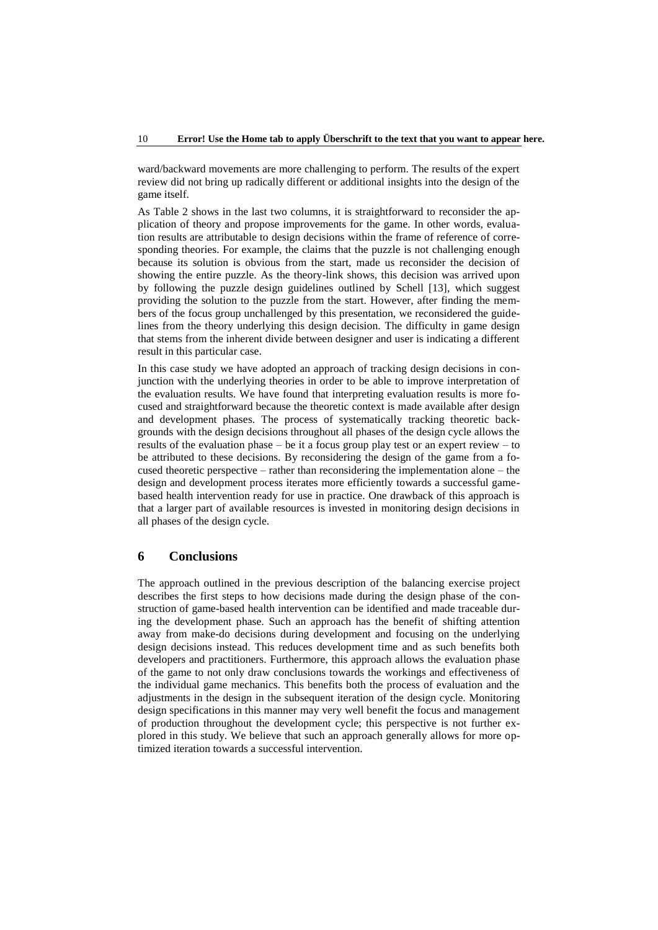ward/backward movements are more challenging to perform. The results of the expert review did not bring up radically different or additional insights into the design of the game itself.

As Table 2 shows in the last two columns, it is straightforward to reconsider the application of theory and propose improvements for the game. In other words, evaluation results are attributable to design decisions within the frame of reference of corresponding theories. For example, the claims that the puzzle is not challenging enough because its solution is obvious from the start, made us reconsider the decision of showing the entire puzzle. As the theory-link shows, this decision was arrived upon by following the puzzle design guidelines outlined by Schell [13], which suggest providing the solution to the puzzle from the start. However, after finding the members of the focus group unchallenged by this presentation, we reconsidered the guidelines from the theory underlying this design decision. The difficulty in game design that stems from the inherent divide between designer and user is indicating a different result in this particular case.

In this case study we have adopted an approach of tracking design decisions in conjunction with the underlying theories in order to be able to improve interpretation of the evaluation results. We have found that interpreting evaluation results is more focused and straightforward because the theoretic context is made available after design and development phases. The process of systematically tracking theoretic backgrounds with the design decisions throughout all phases of the design cycle allows the results of the evaluation phase – be it a focus group play test or an expert review – to be attributed to these decisions. By reconsidering the design of the game from a focused theoretic perspective – rather than reconsidering the implementation alone – the design and development process iterates more efficiently towards a successful gamebased health intervention ready for use in practice. One drawback of this approach is that a larger part of available resources is invested in monitoring design decisions in all phases of the design cycle.

#### **6 Conclusions**

The approach outlined in the previous description of the balancing exercise project describes the first steps to how decisions made during the design phase of the construction of game-based health intervention can be identified and made traceable during the development phase. Such an approach has the benefit of shifting attention away from make-do decisions during development and focusing on the underlying design decisions instead. This reduces development time and as such benefits both developers and practitioners. Furthermore, this approach allows the evaluation phase of the game to not only draw conclusions towards the workings and effectiveness of the individual game mechanics. This benefits both the process of evaluation and the adjustments in the design in the subsequent iteration of the design cycle. Monitoring design specifications in this manner may very well benefit the focus and management of production throughout the development cycle; this perspective is not further explored in this study. We believe that such an approach generally allows for more optimized iteration towards a successful intervention.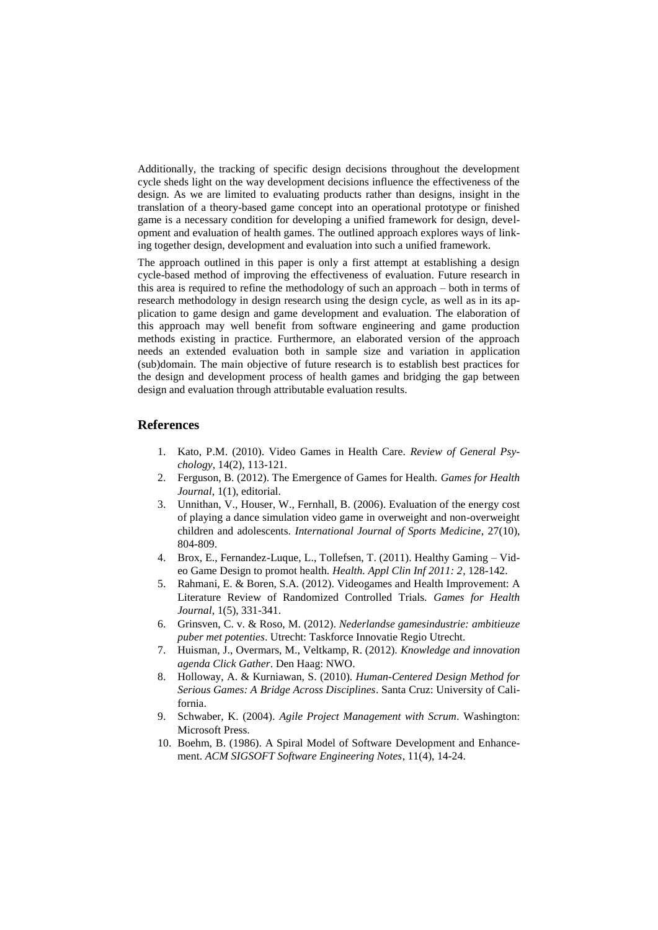Additionally, the tracking of specific design decisions throughout the development cycle sheds light on the way development decisions influence the effectiveness of the design. As we are limited to evaluating products rather than designs, insight in the translation of a theory-based game concept into an operational prototype or finished game is a necessary condition for developing a unified framework for design, development and evaluation of health games. The outlined approach explores ways of linking together design, development and evaluation into such a unified framework.

The approach outlined in this paper is only a first attempt at establishing a design cycle-based method of improving the effectiveness of evaluation. Future research in this area is required to refine the methodology of such an approach – both in terms of research methodology in design research using the design cycle, as well as in its application to game design and game development and evaluation. The elaboration of this approach may well benefit from software engineering and game production methods existing in practice. Furthermore, an elaborated version of the approach needs an extended evaluation both in sample size and variation in application (sub)domain. The main objective of future research is to establish best practices for the design and development process of health games and bridging the gap between design and evaluation through attributable evaluation results.

### **References**

- 1. Kato, P.M. (2010). Video Games in Health Care. *Review of General Psychology*, 14(2), 113-121.
- 2. Ferguson, B. (2012). The Emergence of Games for Health. *Games for Health Journal*, 1(1), editorial.
- 3. Unnithan, V., Houser, W., Fernhall, B. (2006). Evaluation of the energy cost of playing a dance simulation video game in overweight and non-overweight children and adolescents. *International Journal of Sports Medicine*, 27(10), 804-809.
- 4. Brox, E., Fernandez-Luque, L., Tollefsen, T. (2011). Healthy Gaming Video Game Design to promot health. *Health. Appl Clin Inf 2011: 2*, 128-142.
- 5. Rahmani, E. & Boren, S.A. (2012). Videogames and Health Improvement: A Literature Review of Randomized Controlled Trials. *Games for Health Journal*, 1(5), 331-341.
- 6. Grinsven, C. v. & Roso, M. (2012). *Nederlandse gamesindustrie: ambitieuze puber met potenties*. Utrecht: Taskforce Innovatie Regio Utrecht.
- 7. Huisman, J., Overmars, M., Veltkamp, R. (2012). *Knowledge and innovation agenda Click Gather*. Den Haag: NWO.
- 8. Holloway, A. & Kurniawan, S. (2010). *Human-Centered Design Method for Serious Games: A Bridge Across Disciplines*. Santa Cruz: University of California.
- 9. Schwaber, K. (2004). *Agile Project Management with Scrum*. Washington: Microsoft Press.
- 10. Boehm, B. (1986). A Spiral Model of Software Development and Enhancement. *ACM SIGSOFT Software Engineering Notes*, 11(4), 14-24.